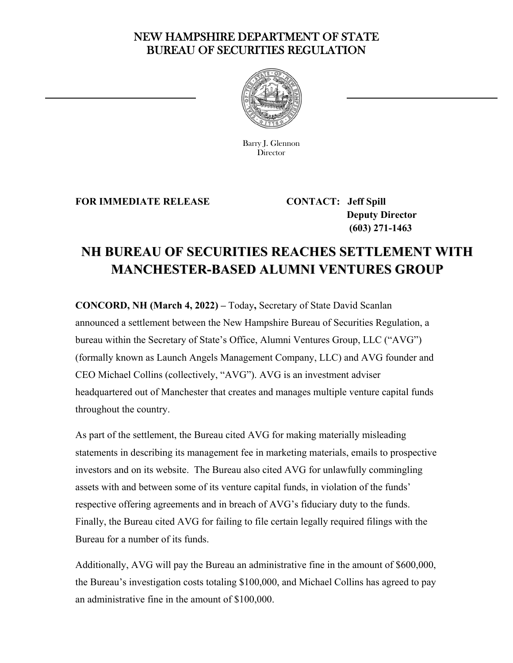## NEW HAMPSHIRE DEPARTMENT OF STATE BUREAU OF SECURITIES REGULATION



Barry J. Glennon **Director** 

**FOR IMMEDIATE RELEASE CONTACT: Jeff Spill** 

<u>—</u>

 **Deputy Director (603) 271-1463** 

## **NH BUREAU OF SECURITIES REACHES SETTLEMENT WITH MANCHESTER-BASED ALUMNI VENTURES GROUP**

**CONCORD, NH (March 4, 2022) –** Today**,** Secretary of State David Scanlan announced a settlement between the New Hampshire Bureau of Securities Regulation, a bureau within the Secretary of State's Office, Alumni Ventures Group, LLC ("AVG") (formally known as Launch Angels Management Company, LLC) and AVG founder and CEO Michael Collins (collectively, "AVG"). AVG is an investment adviser headquartered out of Manchester that creates and manages multiple venture capital funds throughout the country.

As part of the settlement, the Bureau cited AVG for making materially misleading statements in describing its management fee in marketing materials, emails to prospective investors and on its website. The Bureau also cited AVG for unlawfully commingling assets with and between some of its venture capital funds, in violation of the funds' respective offering agreements and in breach of AVG's fiduciary duty to the funds. Finally, the Bureau cited AVG for failing to file certain legally required filings with the Bureau for a number of its funds.

Additionally, AVG will pay the Bureau an administrative fine in the amount of \$600,000, the Bureau's investigation costs totaling \$100,000, and Michael Collins has agreed to pay an administrative fine in the amount of \$100,000.